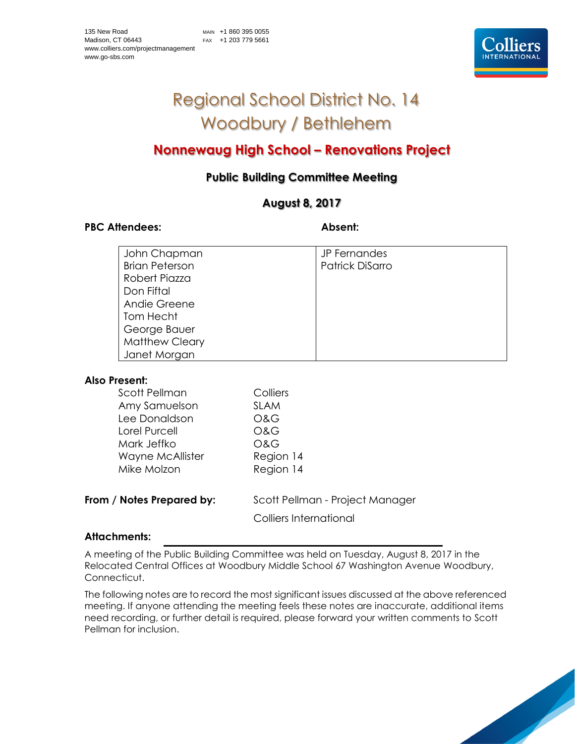

# Regional School District No. 14 Woodbury / Bethlehem

# **Nonnewaug High School – Renovations Project**

# **Public Building Committee Meeting**

# **August 8, 2017**

# PBC Attendees: Absent:

| John Chapman          | JP Fernandes    |
|-----------------------|-----------------|
| <b>Brian Peterson</b> | Patrick DiSarro |
| Robert Piazza         |                 |
| Don Fiftal            |                 |
| Andie Greene          |                 |
| Tom Hecht             |                 |
| George Bauer          |                 |
| <b>Matthew Cleary</b> |                 |
| Janet Morgan          |                 |

# **Also Present:**

| Scott Pellman    | Colliers       |
|------------------|----------------|
| Amy Samuelson    | <b>SLAM</b>    |
| Lee Donaldson    | O&G            |
| Lorel Purcell    | <b>O&amp;G</b> |
| Mark Jeffko      | <b>O&amp;G</b> |
| Wayne McAllister | Region 14      |
| Mike Molzon      | Region 14      |
|                  |                |

**From / Notes Prepared by:** Scott Pellman - Project Manager

Colliers International

# **Attachments:**

A meeting of the Public Building Committee was held on Tuesday, August 8, 2017 in the Relocated Central Offices at Woodbury Middle School 67 Washington Avenue Woodbury, Connecticut.

The following notes are to record the most significant issues discussed at the above referenced meeting. If anyone attending the meeting feels these notes are inaccurate, additional items need recording, or further detail is required, please forward your written comments to Scott Pellman for inclusion.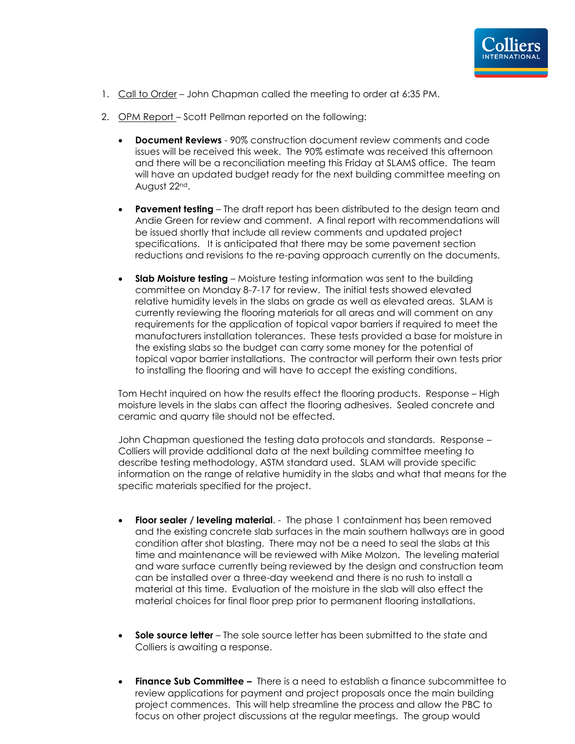

- 1. Call to Order John Chapman called the meeting to order at 6:35 PM.
- 2. OPM Report Scott Pellman reported on the following:
	- **Document Reviews** 90% construction document review comments and code issues will be received this week. The 90% estimate was received this afternoon and there will be a reconciliation meeting this Friday at SLAMS office. The team will have an updated budget ready for the next building committee meeting on August 22nd.
	- **Pavement testing** The draft report has been distributed to the design team and Andie Green for review and comment. A final report with recommendations will be issued shortly that include all review comments and updated project specifications. It is anticipated that there may be some pavement section reductions and revisions to the re-paving approach currently on the documents.
	- **Slab Moisture testing** Moisture testing information was sent to the building committee on Monday 8-7-17 for review. The initial tests showed elevated relative humidity levels in the slabs on grade as well as elevated areas. SLAM is currently reviewing the flooring materials for all areas and will comment on any requirements for the application of topical vapor barriers if required to meet the manufacturers installation tolerances. These tests provided a base for moisture in the existing slabs so the budget can carry some money for the potential of topical vapor barrier installations. The contractor will perform their own tests prior to installing the flooring and will have to accept the existing conditions.

Tom Hecht inquired on how the results effect the flooring products. Response – High moisture levels in the slabs can affect the flooring adhesives. Sealed concrete and ceramic and quarry tile should not be effected.

John Chapman questioned the testing data protocols and standards. Response – Colliers will provide additional data at the next building committee meeting to describe testing methodology, ASTM standard used. SLAM will provide specific information on the range of relative humidity in the slabs and what that means for the specific materials specified for the project.

- **Floor sealer / leveling material**. The phase 1 containment has been removed and the existing concrete slab surfaces in the main southern hallways are in good condition after shot blasting. There may not be a need to seal the slabs at this time and maintenance will be reviewed with Mike Molzon. The leveling material and ware surface currently being reviewed by the design and construction team can be installed over a three-day weekend and there is no rush to install a material at this time. Evaluation of the moisture in the slab will also effect the material choices for final floor prep prior to permanent flooring installations.
- **Sole source letter** The sole source letter has been submitted to the state and Colliers is awaiting a response.
- **Finance Sub Committee –** There is a need to establish a finance subcommittee to review applications for payment and project proposals once the main building project commences. This will help streamline the process and allow the PBC to focus on other project discussions at the regular meetings. The group would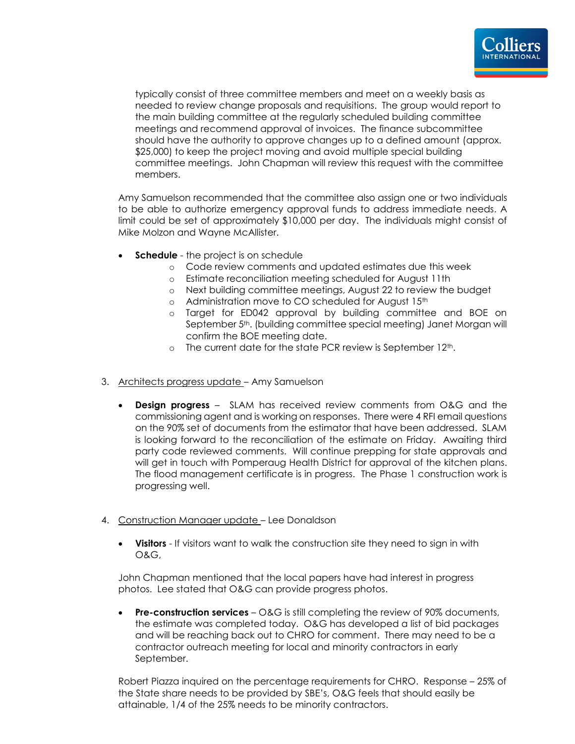

typically consist of three committee members and meet on a weekly basis as needed to review change proposals and requisitions. The group would report to the main building committee at the regularly scheduled building committee meetings and recommend approval of invoices. The finance subcommittee should have the authority to approve changes up to a defined amount (approx. \$25,000) to keep the project moving and avoid multiple special building committee meetings. John Chapman will review this request with the committee members.

Amy Samuelson recommended that the committee also assign one or two individuals to be able to authorize emergency approval funds to address immediate needs. A limit could be set of approximately \$10,000 per day. The individuals might consist of Mike Molzon and Wayne McAllister.

- **Schedule** the project is on schedule
	- o Code review comments and updated estimates due this week
	- o Estimate reconciliation meeting scheduled for August 11th
	- o Next building committee meetings, August 22 to review the budget
	- o Administration move to CO scheduled for August 15th
	- o Target for ED042 approval by building committee and BOE on September 5<sup>th</sup>. (building committee special meeting) Janet Morgan will confirm the BOE meeting date.
	- $\circ$  The current date for the state PCR review is September 12<sup>th</sup>.
- 3. Architects progress update Amy Samuelson
	- **Design progress** SLAM has received review comments from O&G and the commissioning agent and is working on responses. There were 4 RFI email questions on the 90% set of documents from the estimator that have been addressed. SLAM is looking forward to the reconciliation of the estimate on Friday. Awaiting third party code reviewed comments. Will continue prepping for state approvals and will get in touch with Pomperaug Health District for approval of the kitchen plans. The flood management certificate is in progress. The Phase 1 construction work is progressing well.
- 4. Construction Manager update Lee Donaldson
	- **Visitors** If visitors want to walk the construction site they need to sign in with O&G,

John Chapman mentioned that the local papers have had interest in progress photos. Lee stated that O&G can provide progress photos.

• **Pre-construction services** – O&G is still completing the review of 90% documents, the estimate was completed today. O&G has developed a list of bid packages and will be reaching back out to CHRO for comment. There may need to be a contractor outreach meeting for local and minority contractors in early September.

Robert Piazza inquired on the percentage requirements for CHRO. Response – 25% of the State share needs to be provided by SBE's, O&G feels that should easily be attainable, 1/4 of the 25% needs to be minority contractors.